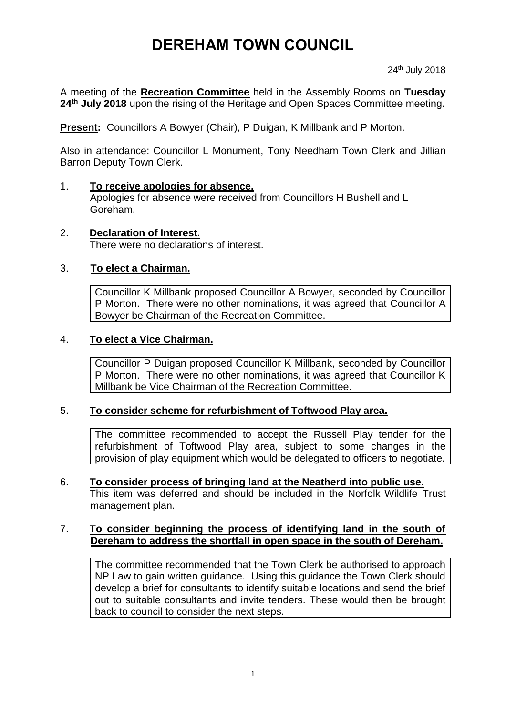# **DEREHAM TOWN COUNCIL**

A meeting of the **Recreation Committee** held in the Assembly Rooms on **Tuesday 24th July 2018** upon the rising of the Heritage and Open Spaces Committee meeting.

**Present:** Councillors A Bowyer (Chair), P Duigan, K Millbank and P Morton.

Also in attendance: Councillor L Monument, Tony Needham Town Clerk and Jillian Barron Deputy Town Clerk.

### 1. **To receive apologies for absence.**

Apologies for absence were received from Councillors H Bushell and L Goreham.

### 2. **Declaration of Interest.**

There were no declarations of interest.

#### 3. **To elect a Chairman.**

Councillor K Millbank proposed Councillor A Bowyer, seconded by Councillor P Morton. There were no other nominations, it was agreed that Councillor A Bowyer be Chairman of the Recreation Committee.

#### 4. **To elect a Vice Chairman.**

Councillor P Duigan proposed Councillor K Millbank, seconded by Councillor P Morton. There were no other nominations, it was agreed that Councillor K Millbank be Vice Chairman of the Recreation Committee.

#### 5. **To consider scheme for refurbishment of Toftwood Play area.**

The committee recommended to accept the Russell Play tender for the refurbishment of Toftwood Play area, subject to some changes in the provision of play equipment which would be delegated to officers to negotiate.

6. **To consider process of bringing land at the Neatherd into public use.** This item was deferred and should be included in the Norfolk Wildlife Trust management plan.

#### 7. **To consider beginning the process of identifying land in the south of Dereham to address the shortfall in open space in the south of Dereham.**

The committee recommended that the Town Clerk be authorised to approach NP Law to gain written guidance. Using this guidance the Town Clerk should develop a brief for consultants to identify suitable locations and send the brief out to suitable consultants and invite tenders. These would then be brought back to council to consider the next steps.